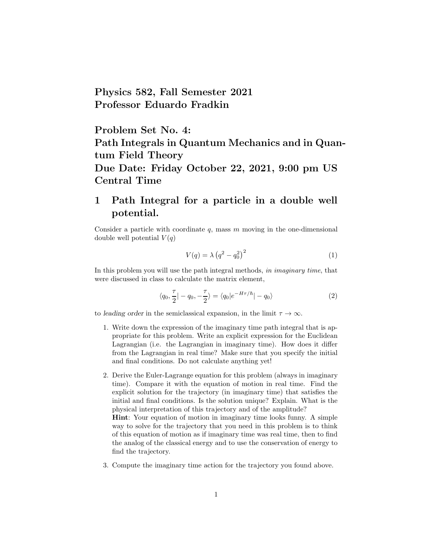Physics 582, Fall Semester 2021 Professor Eduardo Fradkin

Problem Set No. 4: Path Integrals in Quantum Mechanics and in Quantum Field Theory Due Date: Friday October 22, 2021, 9:00 pm US Central Time

## 1 Path Integral for a particle in a double well potential.

Consider a particle with coordinate  $q$ , mass  $m$  moving in the one-dimensional double well potential  $V(q)$ 

$$
V(q) = \lambda (q^2 - q_0^2)^2
$$
\n<sup>(1)</sup>

In this problem you will use the path integral methods, in imaginary time, that were discussed in class to calculate the matrix element,

$$
\langle q_0, \frac{\tau}{2} | -q_0, -\frac{\tau}{2} \rangle = \langle q_0 | e^{-H\tau/\hbar} | -q_0 \rangle \tag{2}
$$

to leading order in the semiclassical expansion, in the limit  $\tau \to \infty$ .

- 1. Write down the expression of the imaginary time path integral that is appropriate for this problem. Write an explicit expression for the Euclidean Lagrangian (i.e. the Lagrangian in imaginary time). How does it differ from the Lagrangian in real time? Make sure that you specify the initial and final conditions. Do not calculate anything yet!
- 2. Derive the Euler-Lagrange equation for this problem (always in imaginary time). Compare it with the equation of motion in real time. Find the explicit solution for the trajectory (in imaginary time) that satisfies the initial and final conditions. Is the solution unique? Explain. What is the physical interpretation of this trajectory and of the amplitude?

Hint: Your equation of motion in imaginary time looks funny. A simple way to solve for the trajectory that you need in this problem is to think of this equation of motion as if imaginary time was real time, then to find the analog of the classical energy and to use the conservation of energy to find the trajectory.

3. Compute the imaginary time action for the trajectory you found above.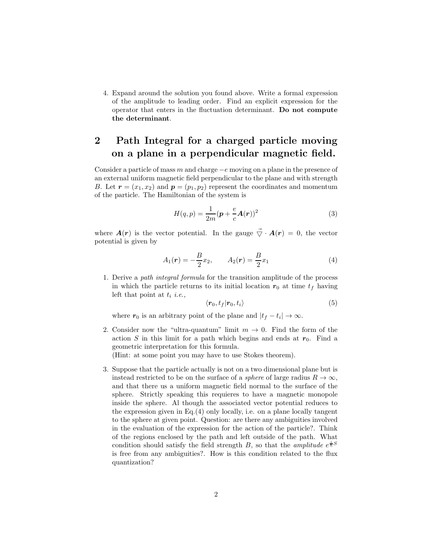4. Expand around the solution you found above. Write a formal expression of the amplitude to leading order. Find an explicit expression for the operator that enters in the fluctuation determinant. Do not compute the determinant.

## 2 Path Integral for a charged particle moving on a plane in a perpendicular magnetic field.

Consider a particle of mass m and charge  $-e$  moving on a plane in the presence of an external uniform magnetic field perpendicular to the plane and with strength B. Let  $\mathbf{r} = (x_1, x_2)$  and  $\mathbf{p} = (p_1, p_2)$  represent the coordinates and momentum of the particle. The Hamiltonian of the system is

$$
H(q,p) = \frac{1}{2m}(\boldsymbol{p} + \frac{e}{c}\boldsymbol{A}(\boldsymbol{r}))^2
$$
\n(3)

where  $\mathbf{A}(\mathbf{r})$  is the vector potential. In the gauge  $\vec{\nabla} \cdot \mathbf{A}(\mathbf{r}) = 0$ , the vector potential is given by

$$
A_1(\mathbf{r}) = -\frac{B}{2}x_2, \qquad A_2(\mathbf{r}) = \frac{B}{2}x_1 \tag{4}
$$

1. Derive a path integral formula for the transition amplitude of the process in which the particle returns to its initial location  $r_0$  at time  $t_f$  having left that point at  $t_i$  *i.e.*,

$$
\langle \mathbf{r}_0, t_f | \mathbf{r}_0, t_i \rangle \tag{5}
$$

where  $r_0$  is an arbitrary point of the plane and  $|t_f - t_i| \to \infty$ .

2. Consider now the "ultra-quantum" limit  $m \to 0$ . Find the form of the action S in this limit for a path which begins and ends at  $r_0$ . Find a geometric interpretation for this formula.

(Hint: at some point you may have to use Stokes theorem).

3. Suppose that the particle actually is not on a two dimensional plane but is instead restricted to be on the surface of a *sphere* of large radius  $R \to \infty$ , and that there us a uniform magnetic field normal to the surface of the sphere. Strictly speaking this requieres to have a magnetic monopole inside the sphere. Al though the associated vector potential reduces to the expression given in Eq.(4) only locally, i.e. on a plane locally tangent to the sphere at given point. Question: are there any ambiguities involved in the evaluation of the expression for the action of the particle?. Think of the regions enclosed by the path and left outside of the path. What condition should satisfy the field strength B, so that the *amplitude*  $e^{\frac{i}{\hbar}S}$ is free from any ambiguities?. How is this condition related to the flux quantization?